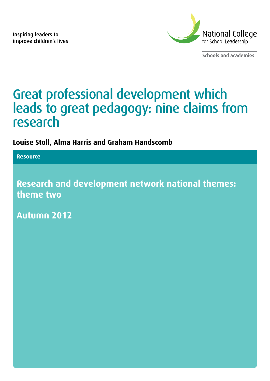Inspiring leaders to improve children's lives



**Schools and academies**

# Great professional development which leads to great pedagogy: nine claims from research

### **Louise Stoll, Alma Harris and Graham Handscomb**

**Resource**

**Research and development network national themes: theme two**

**Autumn 2012**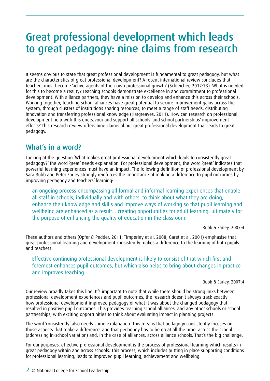## Great professional development which leads to great pedagogy: nine claims from research

It seems obvious to state that great professional development is fundamental to great pedagogy, but what are the characteristics of great professional development? A recent international review concludes that teachers must become 'active agents of their own professional growth' (Schleicher, 2012:73). What is needed for this to become a reality? Teaching schools demonstrate excellence in and commitment to professional development. With alliance partners, they have a mission to develop and enhance this across their schools. Working together, teaching school alliances have great potential to secure improvement gains across the system, through clusters of institutions sharing resources, to meet a range of staff needs, distributing innovation and transferring professional knowledge (Hargreaves, 2011). How can research on professional development help with this endeavour and support all schools' and school partnerships' improvement efforts? This research review offers nine claims about great professional development that leads to great pedagogy.

#### What's in a word?

Looking at the question 'What makes great professional development which leads to consistently great pedagogy?' the word 'great' needs explanation. For professional development, the word 'great' indicates that powerful learning experiences must have an impact. The following definition of professional development by Sara Bubb and Peter Earley strongly reinforces the importance of making a difference to pupil outcomes by improving pedagogy and teachers' learning:

an ongoing process encompassing all formal and informal learning experiences that enable all staff in schools, individually and with others, to think about what they are doing, enhance their knowledge and skills and improve ways of working so that pupil learning and wellbeing are enhanced as a result... creating opportunities for adult learning, ultimately for the purpose of enhancing the quality of education in the classroom.

Bubb & Earley, 2007:4

These authors and others (Opfer & Pedder, 2011; Timperley et al, 2008; Garet et al, 2001) emphasise that great professional learning and development consistently makes a difference to the learning of both pupils and teachers:

#### Effective continuing professional development is likely to consist of that which first and foremost enhances pupil outcomes, but which also helps to bring about changes in practice and improves teaching.

Bubb & Earley, 2007:4

Our review broadly takes this line. It's important to note that while there should be strong links between professional development experiences and pupil outcomes, the research doesn't always track exactly how professional development improved pedagogy or what it was about the changed pedagogy that resulted in positive pupil outcomes. This provides teaching school alliances, and any other schools or school partnerships, with exciting opportunities to think about evaluating impact in planning projects.

The word 'consistently' also needs some explanation. This means that pedagogy consistently focuses on those aspects that make a difference, and that pedagogy has to be great all the time, across the school (addressing in-school variation) and, in the case of alliances, across alliance schools. That's the big challenge.

For our purposes, effective professional development is the process of professional learning which results in great pedagogy within and across schools. This process, which includes putting in place supporting conditions for professional learning, leads to improved pupil learning, achievement and wellbeing.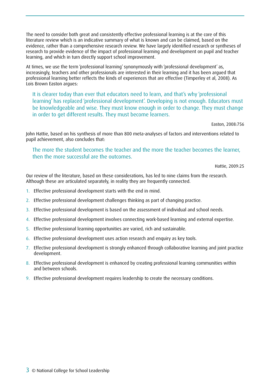The need to consider both great and consistently effective professional learning is at the core of this literature review which is an indicative summary of what is known and can be claimed, based on the evidence, rather than a comprehensive research review. We have largely identified research or syntheses of research to provide evidence of the impact of professional learning and development on pupil and teacher learning, and which in turn directly support school improvement.

At times, we use the term 'professional learning' synonymously with 'professional development' as, increasingly, teachers and other professionals are interested in their learning and it has been argued that professional learning better reflects the kinds of experiences that are effective (Timperley et al, 2008). As Lois Brown Easton argues:

It is clearer today than ever that educators need to learn, and that's why 'professional learning' has replaced 'professional development'. Developing is not enough. Educators must be knowledgeable and wise. They must know enough in order to change. They must change in order to get different results. They must become learners.

Easton, 2008:756

John Hattie, based on his synthesis of more than 800 meta-analyses of factors and interventions related to pupil achievement, also concludes that:

The more the student becomes the teacher and the more the teacher becomes the learner, then the more successful are the outcomes.

Hattie, 2009:25

Our review of the literature, based on these considerations, has led to nine claims from the research. Although these are articulated separately, in reality they are frequently connected.

- 1. Effective professional development starts with the end in mind.
- 2. Effective professional development challenges thinking as part of changing practice.
- 3. Effective professional development is based on the assessment of individual and school needs.
- 4. Effective professional development involves connecting work-based learning and external expertise.
- 5. Effective professional learning opportunities are varied, rich and sustainable.
- 6. Effective professional development uses action research and enquiry as key tools.
- 7. Effective professional development is strongly enhanced through collaborative learning and joint practice development.
- 8. Effective professional development is enhanced by creating professional learning communities within and between schools.
- 9. Effective professional development requires leadership to create the necessary conditions.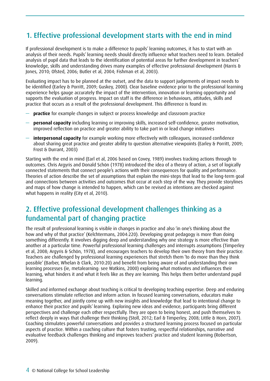## 1. Effective professional development starts with the end in mind

If professional development is to make a difference to pupils' learning outcomes, it has to start with an analysis of their needs. Pupils' learning needs should directly influence what teachers need to learn. Detailed analysis of pupil data that leads to the identification of potential areas for further development in teachers' knowledge, skills and understanding drives many examples of effective professional development (Harris & Jones, 2010; Ofsted, 2006; Butler et al, 2004; Fishman et al, 2003).

Evaluating impact has to be planned at the outset, and the data to support judgements of impact needs to be identified (Earley & Porritt, 2009; Guskey, 2000). Clear baseline evidence prior to the professional learning experience helps gauge accurately the impact of the intervention, innovation or learning opportunity and supports the evaluation of progress. Impact on staff is the difference in behaviours, attitudes, skills and practice that occurs as a result of the professional development. This difference is found in:

- **practice** for example changes in subject or process knowledge and classroom practice
- **personal capacity** including learning or improving skills, increased self-confidence, greater motivation, improved reflection on practice and greater ability to take part in or lead change initiatives
- **interpersonal capacity** for example working more effectively with colleagues, increased confidence about sharing great practice and greater ability to question alternative viewpoints (Earley & Porritt, 2009; Frost & Durrant, 2003)

Starting with the end in mind (Earl et al, 2006 based on Covey, 1989) involves tracking actions through to outcomes. Chris Argyris and Donald Schön (1978) introduced the idea of a theory of action, a set of logically connected statements that connect people's actions with their consequences for quality and performance. Theories of action describe the set of assumptions that explain the mini-steps that lead to the long-term goal and connections between activities and outcomes that occur at each step of the way. They provide storylines and maps of how change is intended to happen, which can be revised as intentions are checked against what happens in reality (City et al, 2010).

#### 2. Effective professional development challenges thinking as a fundamental part of changing practice

The result of professional learning is visible in changes in practice and also 'in one's thinking about the how and why of that practice' (Kelchtermans, 2004:220). Developing great pedagogy is more than doing something differently. It involves digging deep and understanding why one strategy is more effective than another at a particular time. Powerful professional learning challenges and interrupts assumptions (Timperley et al, 2008; Argyris & Schön, 1978), and encourages teachers to develop their own theory from their practice. Teachers are challenged by professional learning experiences that stretch them 'to do more than they think possible' (Barber, Whelan & Clark, 2010:20) and benefit from being aware of and understanding their own learning processes (ie, metalearning: see Watkins, 2000) exploring what motivates and influences their learning, what hinders it and what it feels like as they are learning. This helps them better understand pupil learning.

Skilled and informed exchange about teaching is critical to developing teaching expertise. Deep and enduring conversations stimulate reflection and inform action. In focused learning conversations, educators make meaning together, and jointly come up with new insights and knowledge that lead to intentional change to enhance their practice and pupils' learning. Exploring new ideas and evidence, participants bring different perspectives and challenge each other respectfully. They are open to being honest, and push themselves to reflect deeply in ways that challenge their thinking (Stoll, 2012; Earl & Timperley, 2008; Little & Horn, 2007). Coaching stimulates powerful conversations and provides a structured learning process focused on particular aspects of practice. Within a coaching culture that fosters trusting, respectful relationships, narrative and evaluative feedback challenges thinking and improves teachers' practice and student learning (Robertson, 2009).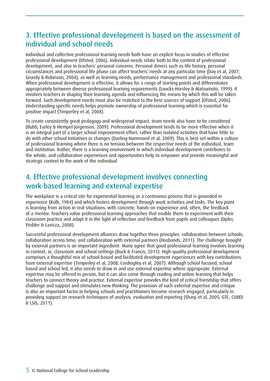#### 3. Effective professional development is based on the assessment of individual and school needs

Individual and collective professional learning needs both have an explicit focus in studies of effective professional development (Ofsted, 2006). Individual needs relate both to the content of professional development, and also to teachers' personal concerns. Personal drivers such as life history, personal circumstances and professional life phase can affect teachers' needs at any particular time (Day et al, 2007; Grundy & Robinson, 2004), as well as learning needs, performance management and professional standards. When professional development is effective, it allows for a range of starting points and differentiates appropriately between diverse professional learning requirements (Loucks-Horsley & Matsumoto, 1999). It involves teachers in shaping their learning agenda and influencing the means by which this will be taken forward. Such development needs must also be matched to the best sources of support (Ofsted, 2006). Understanding specific needs helps promote ownership of professional learning which is essential for positive impact (Timperley et al, 2008).

To create consistently great pedagogy and widespread impact, team needs also have to be considered (Bubb, Earley & Hempel-Jorgensen, 2009). Professional development tends to be more effective when it is an integral part of a larger school improvement effort, rather than isolated activities that have little to do with other school initiatives or changes (Darling-Hammond et al, 2009). This is best set within a culture of professional learning where there is no tension between the respective needs of the individual, team and institution. Rather, there is a learning environment in which individual development contributes to the whole, and collaborative experiences and opportunities help to empower and provide meaningful and strategic context to the work of the individual.

#### 4. Effective professional development involves connecting work-based learning and external expertise

The workplace is a critical site for experiential learning as a continuous process that is grounded in experience (Kolb, 1984) and which fosters development through work activities and tasks. The key point is learning from action in real situations, with concrete, hands-on experience and, often, the feedback of a mentor. Teachers value professional learning approaches that enable them to experiment with their classroom practice and adapt it in the light of reflection and feedback from pupils and colleagues (Opfer, Pedder & Lavicza, 2008).

Successful professional development alliances draw together three principles: collaboration between schools; collaboration across time; and collaboration with external partners (Husbands, 2011). The challenge brought by external partners is an important ingredient. Many agree that good professional learning involves learning in context, ie, classroom and school settings (Buck & Francis, 2011). High-quality professional development comprises a thoughtful mix of school-based and facilitated development experiences with key contributions from external expertise (Timperley et al, 2008; Cordingley et al, 2007). Although school focused, school based and school led, it also needs to draw in and use external expertise where appropriate. External expertise may be offered in person, but it can also come through reading and online learning that helps teachers to connect theory and practice. External expertise provides the kind of critical friendship that offers challenge and support and stimulates new thinking. The provision of such external expertise and critique is also an important factor in helping schools and practitioners become research engaged, particularly in providing support on research techniques of analysis, evaluation and reporting (Sharp et al, 2005; GTC, CUREE & LSIS, 2011).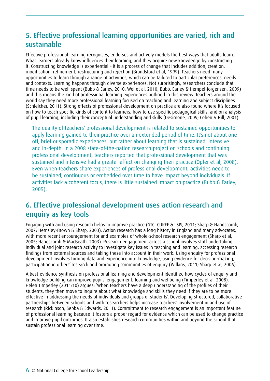#### 5. Effective professional learning opportunities are varied, rich and sustainable

Effective professional learning recognises, endorses and actively models the best ways that adults learn. What learners already know influences their learning, and they acquire new knowledge by constructing it. Constructing knowledge is experiential – it is a process of change that includes addition, creation, modification, refinement, restructuring and rejection (Brandsford et al, 1999). Teachers need many opportunities to learn through a range of activities, which can be tailored to particular preferences, needs and contexts. Learning happens through diverse experiences. Not surprisingly, researchers conclude that time needs to be well spent (Bubb & Earley, 2010; Wei et al, 2010; Bubb, Earley & Hempel-Jorgensen, 2009) and this means the kind of professional learning experiences outlined in this review. Teachers around the world say they need more professional learning focused on teaching and learning and subject disciplines (Schleicher, 2011). Strong effects of professional development on practice are also found where it's focused on how to teach specific kinds of content to learners, how to use specific pedagogical skills, and on analysis of pupil learning, including their conceptual understanding and skills (Desimone, 2009; Cohen & Hill, 2001).

The quality of teachers' professional development is related to sustained opportunities to apply learning gained to their practice over an extended period of time. It's not about oneoff, brief or sporadic experiences, but rather about learning that is sustained, intensive and in-depth. In a 2008 state-of-the-nation research project on schools and continuing professional development, teachers reported that professional development that was sustained and intensive had a greater effect on changing their practice (Opfer et al, 2008). Even when teachers share experiences of professional development, activities need to be sustained, continuous or embedded over time to have impact beyond individuals. If activities lack a coherent focus, there is little sustained impact on practice (Bubb & Earley, 2009).

### 6. Effective professional development uses action research and enquiry as key tools

Engaging with and using research helps to improve practice (GTC, CUREE & LSIS, 2011; Sharp & Handscomb, 2007; Hemsley-Brown & Sharp, 2003). Action research has a long history in England and many advocates, with more recent encouragement for and examples of whole-school research engagement (Sharp et al, 2005; Handscomb & MacBeath, 2003). Research engagement across a school involves staff undertaking individual and joint research activity to investigate key issues in teaching and learning, accessing research findings from external sources and taking these into account in their work. Using enquiry for professional development involves turning data and experience into knowledge, using evidence for decision-making, participating in others' research and promoting communities of enquiry (Wilkins, 2011; Sharp et al, 2006).

A best-evidence synthesis on professional learning and development identified how cycles of enquiry and knowledge-building can improve pupils' engagement, learning and wellbeing (Timperley et al, 2008). Helen Timperley (2011:10) argues: 'When teachers have a deep understanding of the profiles of their students, they then move to inquire about what knowledge and skills they need if they are to be more effective in addressing the needs of individuals and groups of students'. Developing structured, collaborative partnerships between schools and with researchers helps increase teachers' involvement in and use of research (Rickinson, Sebba & Edwards, 2011). Commitment to research engagement is an important feature of professional learning because it fosters a proper regard for evidence which can be used to change practice and improve pupil outcomes. It also establishes research communities within and beyond the school that sustain professional learning over time.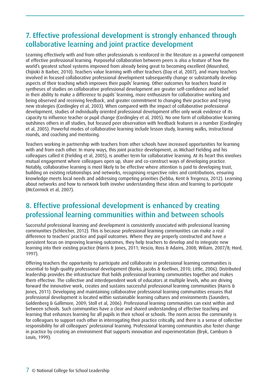### 7. Effective professional development is strongly enhanced through collaborative learning and joint practice development

Learning effectively with and from other professionals is reinforced in the literature as a powerful component of effective professional learning. Purposeful collaboration between peers is also a feature of how the world's greatest school systems improved from already being great to becoming excellent (Mourshed, Chijioki & Barber, 2010). Teachers value learning with other teachers (Day et al, 2007), and many teachers involved in focused collaborative professional development subsequently change or substantially develop aspects of their teaching which improves their pupils' learning. Other outcomes for teachers found in syntheses of studies on collaborative professional development are greater self-confidence and belief in their ability to make a difference to pupils' learning, more enthusiasm for collaborative working and being observed and receiving feedback, and greater commitment to changing their practice and trying new strategies (Cordingley et al, 2003). When compared with the impact of collaborative professional development, studies of individually oriented professional development offer only weak evidence of its capacity to influence teacher or pupil change (Cordingley et al, 2005). No one form of collaborative learning outshines others in all studies, but focused peer observation with feedback features in a number (Cordingley et al, 2005). Powerful modes of collaborative learning include lesson study, learning walks, instructional rounds, and coaching and mentoring.

Teachers working in partnership with teachers from other schools have increased opportunities for learning with and from each other. In many ways, this joint practice development, as Michael Fielding and his colleagues called it (Fielding et al, 2005), is another term for collaborative learning. At its heart this involves mutual engagement where colleagues open up, share and co-construct ways of developing practice. Notably, collaborative learning is most likely to be effective where attention is paid to developing trust, building on existing relationships and networks, recognising respective roles and contributions, ensuring knowledge meets local needs and addressing competing priorities (Sebba, Kent & Tregenza, 2012). Learning about networks and how to network both involve understanding these ideas and learning to participate (McCormick et al, 2007).

#### 8. Effective professional development is enhanced by creating professional learning communities within and between schools

Successful professional learning and development is consistently associated with professional learning communities (Schleicher, 2012). This is because professional learning communities can make a real difference to teachers' practice and pupil outcomes. Where they are properly constructed and have a persistent focus on improving learning outcomes, they help teachers to develop and to integrate new learning into their existing practice (Harris & Jones, 2011; Vescio, Ross & Adams, 2008; Wiliam, 2007/8; Hord, 1997).

Offering teachers the opportunity to participate and collaborate in professional learning communities is essential to high-quality professional development (Borko, Jacobs & Koellner, 2010; Little, 2006). Distributed leadership provides the infrastructure that holds professional learning communities together and makes them effective. The collective and interdependent work of educators at multiple levels, who are driving forward the innovative work, creates and sustains successful professional learning communities (Harris & Jones, 2011). Developing and maintaining collaborative professional learning communities ensures that professional development is located within sustainable learning cultures and environments (Saunders, Goldenberg & Gallimore, 2009; Stoll et al, 2006). Professional learning communities can exist within and between schools. Such communities have a clear and shared understanding of effective teaching and learning that enhances learning for all pupils in their school or schools. The norm across the community is for colleagues to support each other in interrogating their practice critically, and there is a sense of collective responsibility for all colleagues' professional learning. Professional learning communities also foster change in practice by creating an environment that supports innovation and experimentation (Bryk, Camburn & Louis, 1999).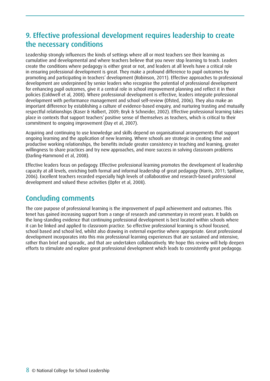#### 9. Effective professional development requires leadership to create the necessary conditions

Leadership strongly influences the kinds of settings where all or most teachers see their learning as cumulative and developmental and where teachers believe that you never stop learning to teach. Leaders create the conditions where pedagogy is either great or not, and leaders at all levels have a critical role in ensuring professional development is great. They make a profound difference to pupil outcomes by promoting and participating in teachers' development (Robinson, 2011). Effective approaches to professional development are underpinned by senior leaders who recognise the potential of professional development for enhancing pupil outcomes, give it a central role in school improvement planning and reflect it in their policies (Coldwell et al, 2008). Where professional development is effective, leaders integrate professional development with performance management and school self-review (Ofsted, 2006). They also make an important difference by establishing a culture of evidence-based enquiry, and nurturing trusting and mutually respectful relationships (Kaser & Halbert, 2009; Bryk & Schneider, 2002). Effective professional learning takes place in contexts that support teachers' positive sense of themselves as teachers, which is critical to their commitment to ongoing improvement (Day et al, 2007).

Acquiring and continuing to use knowledge and skills depend on organisational arrangements that support ongoing learning and the application of new learning. Where schools are strategic in creating time and productive working relationships, the benefits include greater consistency in teaching and learning, greater willingness to share practices and try new approaches, and more success in solving classroom problems (Darling-Hammond et al, 2008).

Effective leaders focus on pedagogy. Effective professional learning promotes the development of leadership capacity at all levels, enriching both formal and informal leadership of great pedagogy (Harris, 2011; Spillane, 2006). Excellent teachers recorded especially high levels of collaborative and research-based professional development and valued these activities (Opfer et al, 2008).

#### Concluding comments

The core purpose of professional learning is the improvement of pupil achievement and outcomes. This tenet has gained increasing support from a range of research and commentary in recent years. It builds on the long-standing evidence that continuing professional development is best located within schools where it can be linked and applied to classroom practice. So effective professional learning is school focused, school based and school led, whilst also drawing in external expertise where appropriate. Great professional development incorporates into this mix professional learning experiences that are sustained and intensive, rather than brief and sporadic, and that are undertaken collaboratively. We hope this review will help deepen efforts to stimulate and explore great professional development which leads to consistently great pedagogy.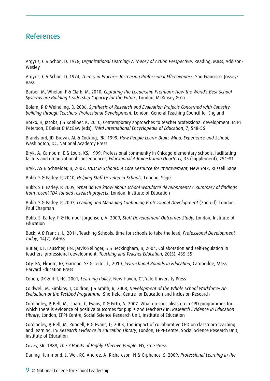#### References

Argyris, C & Schön, D, 1978, *Organizational Learning: A Theory of Action Perspective*, Reading, Mass, Addison-Wesley

Argyris, C & Schön, D, 1974, *Theory in Practice: Increasing Professional Effectiveness*, San Francisco, Jossey-Bass

Barber, M, Whelan, F & Clark, M, 2010, *Capturing the Leadership Premium: How the World's Best School Systems are Building Leadership Capacity for the Future*, London, McKinsey & Co

Bolam, R & Weindling, D, 2006, *Synthesis of Research and Evaluation Projects Concerned with Capacitybuilding through Teachers' Professional Development,* London, General Teaching Council for England

Borko, H, Jacobs, J & Koellner, K, 2010, Contemporary approaches to teacher professional development. In PL Peterson, E Baker & McGaw (eds), *Third International Encyclopedia of Education*, 7, 548–56

Brandsford, JD, Brown, AL & Cocking, RR, 1999, *How People Learn: Brain, Mind, Experience and School,* Washington, DC, National Academy Press

Bryk, A, Camburn, E & Louis, KS, 1999, Professional community in Chicago elementary schools: facilitating factors and organizational consequences, *Educational Administration Quarterly,* 35 (supplement), 751–81

Bryk, AS & Schneider, B, 2002, *Trust in Schools: A Core Resource for Improvement*, New York, Russell Sage

Bubb, S & Earley, P, 2010, *Helping Staff Develop in Schools*, London, Sage

Bubb, S & Earley, P, 2009, *What do we know about school workforce development? A summary of findings from recent TDA-funded research projects*, London, Institute of Education

Bubb, S & Earley, P, 2007, *Leading and Managing Continuing Professional Development* (2nd ed), London, Paul Chapman

Bubb, S, Earley, P & Hempel-Jorgensen, A, 2009, *Staff Development Outcomes Study*, London, Institute of Education

Buck, A & Francis, L, 2011, Teaching Schools: time for schools to take the lead, *Professional Development Today*, 14(2), 64-68

Butler, DL, Lauscher, HN, Jarvis-Selinger, S & Beckingham, B, 2004, Collaboration and self-regulation in teachers' professional development, *Teaching and Teacher Education*, 20(5), 435–55

City, EA, Elmore, RF, Fiarman, SE & Teitel, L, 2010, *Instructional Rounds in Education*, Cambridge, Mass, Harvard Education Press

Cohen, DK & Hill, HC, 2001, *Learning Policy*, New Haven, CT, Yale University Press

Coldwell, M, Simkins, T, Coldron, J & Smith, R, 2008, *Development of the Whole School Workforce: An Evaluation of the Testbed Programme*, Sheffield, Centre for Education and Inclusion Research

Cordingley, P, Bell, M, Isham, C, Evans, D & Firth, A, 2007. What do specialists do in CPD programmes for which there is evidence of positive outcomes for pupils and teachers? In: *Research Evidence in Education Library*, London, EPPI-Centre, Social Science Research Unit, Institute of Education

Cordingley, P, Bell, M, Rundell, B & Evans, D, 2003, The impact of collaborative CPD on classroom teaching and learning. In: *Research Evidence in Education Library*, London, EPPI-Centre, Social Science Research Unit, Institute of Education

Covey, SR, 1989, *The 7 Habits of Highly Effective People*, NY, Free Press.

Darling-Hammond, L, Wei, RC, Andree, A, Richardson, N & Orphanos, S, 2009, *Professional Learning in the*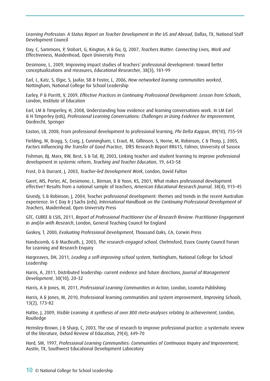*Learning Profession: A Status Report on Teacher Development in the US and Abroad*, Dallas, TX, National Staff Development Council

Day, C, Sammons, P, Stobart, G, Kington, A & Gu, Q, 2007, *Teachers Matter: Connecting Lives, Work and Effectiveness*, Maidenhead, Open University Press

Desimone, L, 2009, Improving impact studies of teachers' professional development: toward better conceptualizations and measures, *Educational Researcher*, 38(3), 181–99

Earl, L, Katz, S, Elgie, S, Jaafar, SB & Foster, L, 2006, *How networked learning communities worked*, Nottingham, National College for School Leadership

Earley, P & Porritt, V, 2009, *Effective Practices in Continuing Professional Development: Lesson from Schools*, London, Institute of Education

Earl, LM & Timperley, H, 2008, Understanding how evidence and learning conversations work. In LM Earl & H Timperley (eds), *Professional Learning Conversations: Challenges in Using Evidence for Improvement*, Dordrecht, Springer

Easton, LB, 2008, From professional development to professional learning, *Phi Delta Kappan*, 89(10), 755–59

Fielding, M, Bragg, S, Craig, J, Cunningham, I, Eraut, M, Gillinson, S, Horne, M, Robinson, C & Thorp, J, 2005, *Factors Influencing the Transfer of Good Practice*, DfES Research Report RR615, Falmer, University of Sussex

Fishman, BJ, Marx, RW, Best, S & Tal, RJ, 2003, Linking teacher and student learning to improve professional development in systemic reform, *Teaching and Teacher Education*, 19, 643–58

Frost, D & Durrant, J, 2003, *Teacher-led Development Work*, London, David Fulton

Garet, MS, Porter, AC, Desimone, L, Birman, B & Yoon, KS, 2001, What makes professional development effective? Results from a national sample of teachers, *American Educational Research Journal*, 38(4), 915–45

Grundy, S & Robinson, J, 2004, Teacher professional development: themes and trends in the recent Australian experience. In C Day & J Sachs (eds), *International Handbook on the Continuing Professional Development of Teachers*, Maidenhead, Open University Press

GTC, CUREE & LSIS, 2011, *Report of Professional Practitioner Use of Research Review: Practitioner Engagement in and/or with Research*, London, General Teaching Council for England

Guskey, T, 2000, *Evaluating Professional Development*, Thousand Oaks, CA, Corwin Press

Handscomb, G & MacBeath, J, 2003, *The research-engaged school*, Chelmsford, Essex County Council Forum for Learning and Research Enquiry

Hargreaves, DH, 2011, *Leading a self-improving school system*, Nottingham, National College for School Leadership

Harris, A, 2011, Distributed leadership: current evidence and future directions, *Journal of Management Development*, 30(10), 20–32

Harris, A & Jones, M, 2011, *Professional Learning Communities in Action*, London, Leannta Publishing

Harris, A & Jones, M, 2010, Professional learning communities and system improvement, *Improving Schools*, 13(2), 173–82

Hattie, J, 2009, *Visible Learning: A synthesis of over 800 meta-analyses relating to achievement*, London, Routledge

Hemsley-Brown, J & Sharp, C, 2003, The use of research to improve professional practice: a systematic review of the literature, Oxford Review of Education, 29(4), 449–70

Hord, SM, 1997, *Professional Learning Communities: Communities of Continuous Inquiry and Improvement,* Austin, TX, Southwest Educational Development Laboratory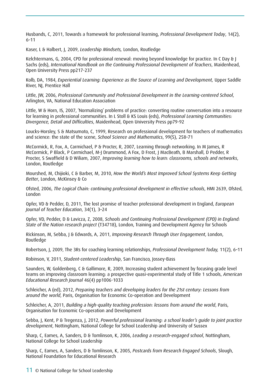Husbands, C, 2011, Towards a framework for professional learning, *Professional Development Today*, 14(2), 6–11

Kaser, L & Halbert, J, 2009, *Leadership Mindsets,* London, Routledge

Kelchtermans, G, 2004, CPD for professional renewal: moving beyond knowledge for practice. In C Day & J Sachs (eds), *International Handbook on the Continuing Professional Development of Teachers*, Maidenhead, Open University Press pp217-237

Kolb, DA, 1984, *Experiential Learning: Experience as the Source of Learning and Development,* Upper Saddle River, NJ, Prentice Hall

Little, JW, 2006, *Professional Community and Professional Development in the Learning-centered School*, Arlington, VA, National Education Association

Little, W & Horn, IS, 2007, 'Normalizing' problems of practice: converting routine conversation into a resource for learning in professional communities. In L Stoll & KS Louis (eds), *Professional Learning Communities: Divergence, Detail and Difficulties*, Maidenhead, Open University Press pp79-92

Loucks-Horsley, S & Matsumoto, C, 1999, Research on professional development for teachers of mathematics and science: the state of the scene, *School Science and Mathematics*, 99(5), 258–71

McCormick, R, Fox, A, Carmichael, P & Procter, R, 2007, Learning through networking. In M James, R McCormick, P Black, P Carmichael, M-J Drummond, A Fox, D Frost, J MacBeath, B Marshall, D Pedder, R Procter, S Swaffield & D Wiliam, 2007, *Improving learning how to learn: classrooms, schools and networks*, London, Routledge

Mourshed, M, Chijioki, C & Barber, M, 2010, *How the World's Most Improved School Systems Keep Getting Better*, London, McKinsey & Co

Ofsted, 2006, *The Logical Chain: continuing professional development in effective schools*, HMI 2639, Ofsted, London

Opfer, VD & Pedder, D, 2011, The lost promise of teacher professional development in England, *European Journal of Teacher Education*, 34(1), 3–24

Opfer, VD, Pedder, D & Lavicza, Z, 2008, *Schools and Continuing Professional Development (CPD) in England: State of the Nation research project* (T34718), London, Training and Development Agency for Schools

Rickinson, M, Sebba, J & Edwards, A, 2011, *Improving Research Through User Engagement*, London, Routledge

Robertson, J, 2009, The 3Rs for coaching learning relationships, *Professional Development Today,* 11(2), 6–11

Robinson, V, 2011, *Student-centered Leadership*, San Francisco, Jossey-Bass

Saunders, W, Goldenberg, C & Gallimore, R, 2009, Increasing student achievement by focusing grade level teams on improving classroom learning: a prospective quasi-experimental study of Title 1 schools, *American Educational Research Journal* 46(4) pp1006-1033

Schleicher, A (ed), 2012, *Preparing teachers and developing leaders for the 21st century: Lessons from around the world*, Paris, Organisation for Economic Co-operation and Development

Schleicher, A, 2011, *Building a high-quality teaching profession: lessons from around the world*, Paris, Organisation for Economic Co-operation and Development

Sebba, J, Kent, P & Tregenza, J, 2012, *Powerful professional learning: a school leader's guide to joint practice development*, Nottingham, National College for School Leadership and University of Sussex

Sharp, C, Eames, A, Sanders, D & Tomlinson, K, 2006, *Leading a research-engaged school*, Nottingham, National College for School Leadership

Sharp, C, Eames, A, Sanders, D & Tomlinson, K, 2005, *Postcards from Research Engaged Schools*, Slough, National Foundation for Educational Research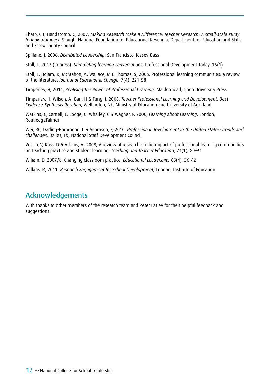Sharp, C & Handscomb, G, 2007, *Making Research Make a Difference: Teacher Research: A small-scale study to look at impact*, Slough, National Foundation for Educational Research, Department for Education and Skills and Essex County Council

Spillane, J, 2006, *Distributed Leadership*, San Francisco, Jossey-Bass

Stoll, L, 2012 (in press), *Stimulating learning conversations,* Professional Development Today, 15(1)

Stoll, L, Bolam, R, McMahon, A, Wallace, M & Thomas, S, 2006, Professional learning communities: a review of the literature, *Journal of Educational Change*, 7(4), 221–58

Timperley, H, 2011, *Realising the Power of Professional Learning*, Maidenhead, Open University Press

Timperley, H, Wilson, A, Barr, H & Fung, I, 2008, *Teacher Professional Learning and Development: Best Evidence Synthesis Iteration*, Wellington, NZ, Ministry of Education and University of Auckland

Watkins, C, Carnell, E, Lodge, C, Whalley, C & Wagner, P, 2000, *Learning about Learning*, London, RoutledgeFalmer

Wei, RC, Darling-Hammond, L & Adamson, F, 2010, *Professional development in the United States: trends and challenges,* Dallas, TX, National Staff Development Council

Vescio, V, Ross, D & Adams, A, 2008, A review of research on the impact of professional learning communities on teaching practice and student learning, *Teaching and Teacher Education*, 24(1), 80–91

Wiliam, D, 2007/8, Changing classroom practice, *Educational Leadership,* 65(4), 36–42

Wilkins, R, 2011, *Research Engagement for School Development,* London, Institute of Education

#### Acknowledgements

With thanks to other members of the research team and Peter Earley for their helpful feedback and suggestions.